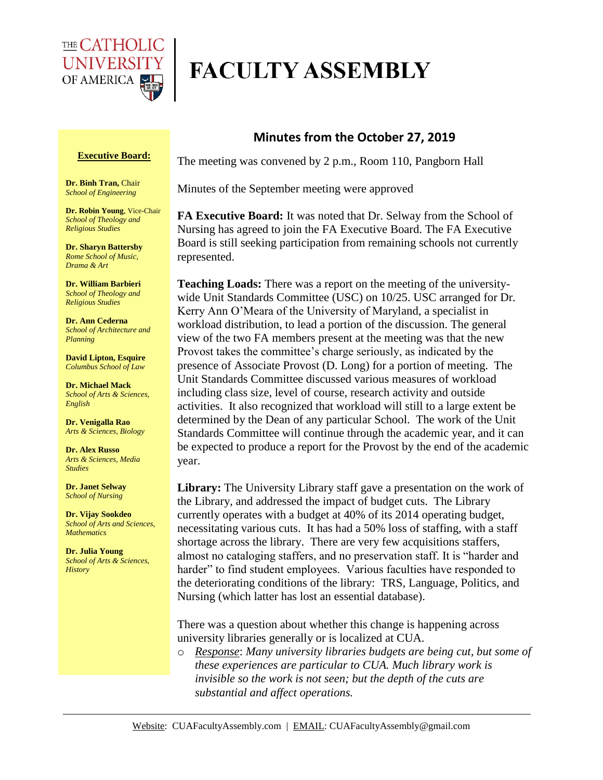

## **FACULTY ASSEMBLY**

## **Executive Board:**

**Dr. Binh Tran,** Chair *School of Engineering*

**Dr. Robin Young**, Vice-Chair *School of Theology and Religious Studies*

**Dr. Sharyn Battersby** *Rome School of Music, Drama & Art* 

**Dr. William Barbieri** *School of Theology and Religious Studies*

**Dr. Ann Cederna** *School of Architecture and Planning* 

**David Lipton, Esquire** *Columbus School of Law*

**Dr. Michael Mack** *School of Arts & Sciences, English*

**Dr. Venigalla Rao** *Arts & Sciences, Biology*

**Dr. Alex Russo** *Arts & Sciences, Media Studies*

**Dr. Janet Selway** *School of Nursing*

**Dr. Vijay Sookdeo** *School of Arts and Sciences, Mathematics*

**Dr. Julia Young** *School of Arts & Sciences, History*

## **Minutes from the October 27, 2019**

The meeting was convened by 2 p.m., Room 110, Pangborn Hall

Minutes of the September meeting were approved

**FA Executive Board:** It was noted that Dr. Selway from the School of Nursing has agreed to join the FA Executive Board. The FA Executive Board is still seeking participation from remaining schools not currently represented.

**Teaching Loads:** There was a report on the meeting of the universitywide Unit Standards Committee (USC) on 10/25. USC arranged for Dr. Kerry Ann O'Meara of the University of Maryland, a specialist in workload distribution, to lead a portion of the discussion. The general view of the two FA members present at the meeting was that the new Provost takes the committee's charge seriously, as indicated by the presence of Associate Provost (D. Long) for a portion of meeting. The Unit Standards Committee discussed various measures of workload including class size, level of course, research activity and outside activities. It also recognized that workload will still to a large extent be determined by the Dean of any particular School. The work of the Unit Standards Committee will continue through the academic year, and it can be expected to produce a report for the Provost by the end of the academic year.

**Library:** The University Library staff gave a presentation on the work of the Library, and addressed the impact of budget cuts. The Library currently operates with a budget at 40% of its 2014 operating budget, necessitating various cuts. It has had a 50% loss of staffing, with a staff shortage across the library. There are very few acquisitions staffers, almost no cataloging staffers, and no preservation staff. It is "harder and harder" to find student employees. Various faculties have responded to the deteriorating conditions of the library: TRS, Language, Politics, and Nursing (which latter has lost an essential database).

 There was a question about whether this change is happening across university libraries generally or is localized at CUA.

o *Response*: *Many university libraries budgets are being cut, but some of these experiences are particular to CUA. Much library work is invisible so the work is not seen; but the depth of the cuts are substantial and affect operations.*